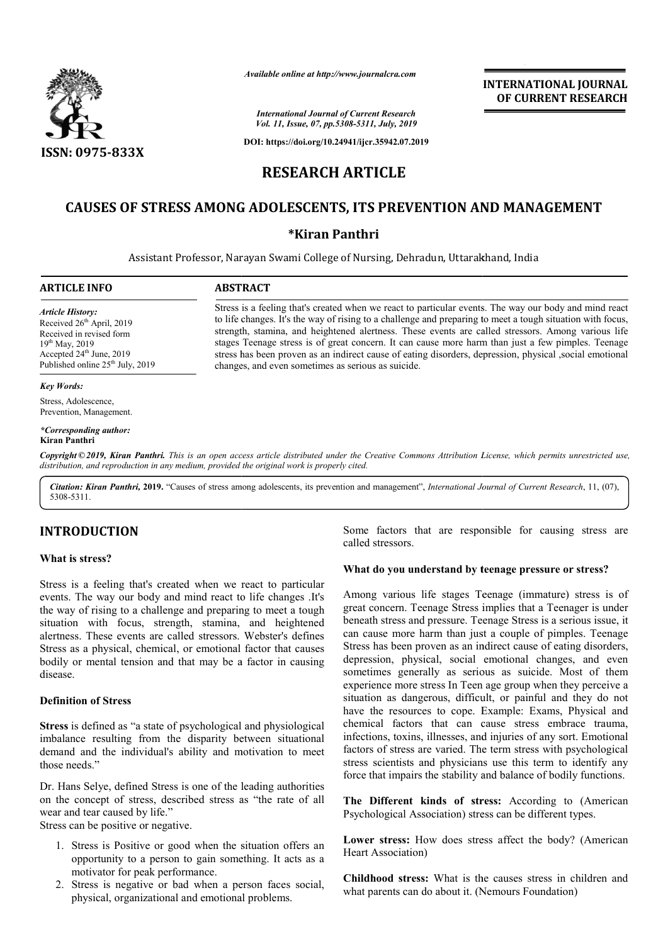

*Available online at http://www.journalcra.com*

**INTERNATIONAL JOURNAL OF CURRENT RESEARCH**

*International Journal of Current Research Vol. 11, Issue, 07, pp.5308-5311, July, 2019*

**DOI: https://doi.org/10.24941/ijcr.35942.07.2019**

# **RESEARCH ARTICLE**

# **CAUSES OF STRESS AMONG ADOLESCENTS ADOLESCENTS, ITS PREVENTION AND MANAGEMENT ITS MANAGEMENT**

# **\*Kiran Panthri**

Assistant Professor, Narayan Swami College of Nursing, Dehradun, Uttarakhand, India

# **ARTICLE INFO ABSTRACT**

*Article History:* Received 26<sup>th</sup> April, 2019 Received in revised form 19th May, 2019 Accepted 24<sup>th</sup> June, 2019 Published online  $25<sup>th</sup>$  July, 2019

### *Key Words:*

Stress, Adolescence, Prevention, Management.

#### *\*Corresponding author:*  **Kiran Panthri**

Copyright © 2019, Kiran Panthri. This is an open access article distributed under the Creative Commons Attribution License, which permits unrestricted use, *distribution, and reproduction in any medium, provided the original work is properly cited.*

changes, and even sometimes as serious as suicide.

Citation: Kiran Panthri, 2019. "Causes of stress among adolescents, its prevention and management", *International Journal of Current Research*, 11, (07), 5308-5311.

# **INTRODUCTION**

## **What is stress?**

Stress is a feeling that's created when we react to particular events. The way our body and mind react to life changes .It's the way of rising to a challenge and preparing to meet a tough situation with focus, strength, stamina, and heightened alertness. These events are called stressors. Webster's defines Stress as a physical, chemical, or emotional factor that causes bodily or mental tension and that may be a factor in causing disease. hese events are called stressors. Webster's defines<br>physical, chemical, or emotional factor that causes<br>nental tension and that may be a factor in causing<br>of Stress<br>fined as "a state of psychological and physiological

## **Definition of Stress**

**Stress** is defined as "a state of psychological imbalance resulting from the disparity between situational demand and the individual's ability and motivation to meet those needs."

Dr. Hans Selye, defined Stress is one of the leading authorities on the concept of stress, described stress as "the rate of all wear and tear caused by life."

Stress can be positive or negative.

- 1. Stress is Positive or good when the situation offers an opportunity to a person to gain something. It acts as a motivator for peak performance.
- 2. Stress is negative or bad when a person faces social, physical, organizational and emotional problems.

called stressors. Some factors that are responsible for causing stress are

## **What do you understand by teenage pressure or stress? What do you**

Some factors that are responsible for causing stress are<br>called stressors.<br>What do you understand by teenage pressure or stress?<br>We text to life changes .It's Among various life stages Teenage (immature) stress is of<br>the c Among various life stages Teenage (immature) stress is of great concern. Teenage Stress implies that a Teenager is under beneath stress and pressure. Teenage Stress is a serious issue, it beneath stress and pressure. Teenage Stress is a serious issue, it can cause more harm than just a couple of pimples. Teenage Stress has been proven as an indirect cause of eating disorders, depression, physical, social emotional changes, and even depression, physical, social emotional changes, and even sometimes generally as serious as suicide. Most of them experience more stress In Teen age group when they perceive a experience more stress In Teen age group when they perceive a situation as dangerous, difficult, or painful and they do not have the resources to cope. Example: Exams, Physical and chemical factors that can cause stress embrace trauma, infections, toxins, illnesses, and injuries of any sort. Emotional factors of stress are varied. The term stress with psychological stress scientists and physicians use this term to identify any force that impairs the stability and balance of bodily functions. infections, toxins, illnesses, and injuries of any sort. Emotional factors of stress are varied. The term stress with psychological stress scientists and physicians use this term to identify any force that impairs the stab **INTERNATIONAL JOURNAL OF CURRENT RESEARCH COF CURRENT RESEARCH COF CURRENT RESEARCH EXPLOREMENT STAND MANAGEMENT and the minition of the state at ough situation with house, there are called stressors. Among various life h** 

**The Different kinds of stress:** According to (American Psychological Association) stress can be different types.

**Lower stress:** How does stress affect the body? (American Heart Association)

**Childhood stress:** What is the causes stress in children and what parents can do about it. (Nemours Foundation)

# Stress is a feeling that's created when we react to particular events. The way our body and mind react to life changes. It's the way of rising to a challenge and preparing to meet a tough situation with focus, to life changes. It's the way of rising to a challenge and preparing to meet a tough situation with focus, strength, stamina, and heightened alertness. These events are called stressors. Among various life stages Teenage stress is of great concern. It can cause more harm than just a few pimples. Teenage stages Teenage stress is of great concern. It can cause more harm than just a few pimples. Teenage stress has been proven as an indirect cause of eating disorders, depression, physical ,social emotional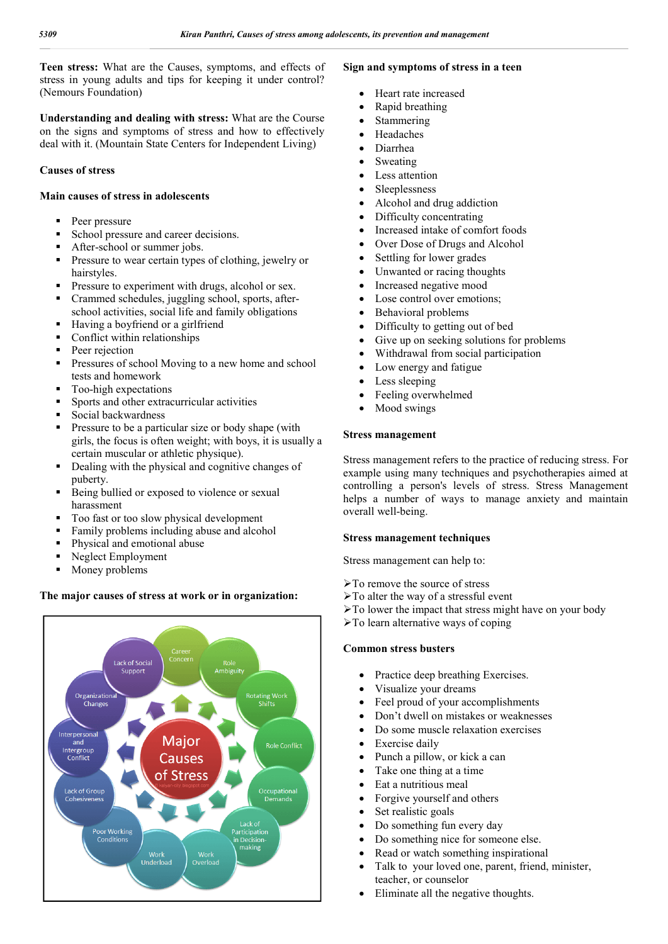**Teen stress:** What are the Causes, symptoms, and effects of stress in young adults and tips for keeping it under control? (Nemours Foundation)

**Understanding and dealing with stress:** What are the Course on the signs and symptoms of stress and how to effectively deal with it. (Mountain State Centers for Independent Living)

# **Causes of stress**

## **Main causes of stress in adolescents**

- Peer pressure
- School pressure and career decisions.
- After-school or summer jobs.
- Pressure to wear certain types of clothing, jewelry or hairstyles.
- Pressure to experiment with drugs, alcohol or sex.
- Crammed schedules, juggling school, sports, afterschool activities, social life and family obligations
- Having a boyfriend or a girlfriend
- Conflict within relationships
- Peer rejection
- Pressures of school Moving to a new home and school tests and homework
- Too-high expectations
- Sports and other extracurricular activities
- Social backwardness
- **Pressure to be a particular size or body shape (with** girls, the focus is often weight; with boys, it is usually a certain muscular or athletic physique).
- Dealing with the physical and cognitive changes of puberty.
- Being bullied or exposed to violence or sexual harassment
- Too fast or too slow physical development
- Family problems including abuse and alcohol
- Physical and emotional abuse
- Neglect Employment
- $\blacksquare$  Money problems

# **The major causes of stress at work or in organization:**



# **Sign and symptoms of stress in a teen**

- Heart rate increased
- Rapid breathing
- Stammering
- Headaches
- Diarrhea
- Sweating
- Less attention
- Sleeplessness
- Alcohol and drug addiction
- Difficulty concentrating
- Increased intake of comfort foods
- Over Dose of Drugs and Alcohol
- Settling for lower grades
- Unwanted or racing thoughts
- Increased negative mood
- Lose control over emotions;
- Behavioral problems
- Difficulty to getting out of bed
- Give up on seeking solutions for problems
- Withdrawal from social participation
- Low energy and fatigue
- Less sleeping
- Feeling overwhelmed
- Mood swings

## **Stress management**

Stress management refers to the practice of reducing stress. For example using many techniques and psychotherapies aimed at controlling a person's levels of stress. Stress Management helps a number of ways to manage anxiety and maintain overall well-being.

## **Stress management techniques**

Stress management can help to:

- To remove the source of stress
- $\triangleright$  To alter the way of a stressful event
- $\triangleright$  To lower the impact that stress might have on your body
- $\triangleright$  To learn alternative ways of coping

## **Common stress busters**

- Practice deep breathing Exercises.
- Visualize your dreams
- Feel proud of your accomplishments
- Don't dwell on mistakes or weaknesses
- Do some muscle relaxation exercises
- Exercise daily
- Punch a pillow, or kick a can
- Take one thing at a time
- Eat a nutritious meal
- Forgive yourself and others
- Set realistic goals
- Do something fun every day
- Do something nice for someone else.
- Read or watch something inspirational
- Talk to your loved one, parent, friend, minister, teacher, or counselor
- Eliminate all the negative thoughts.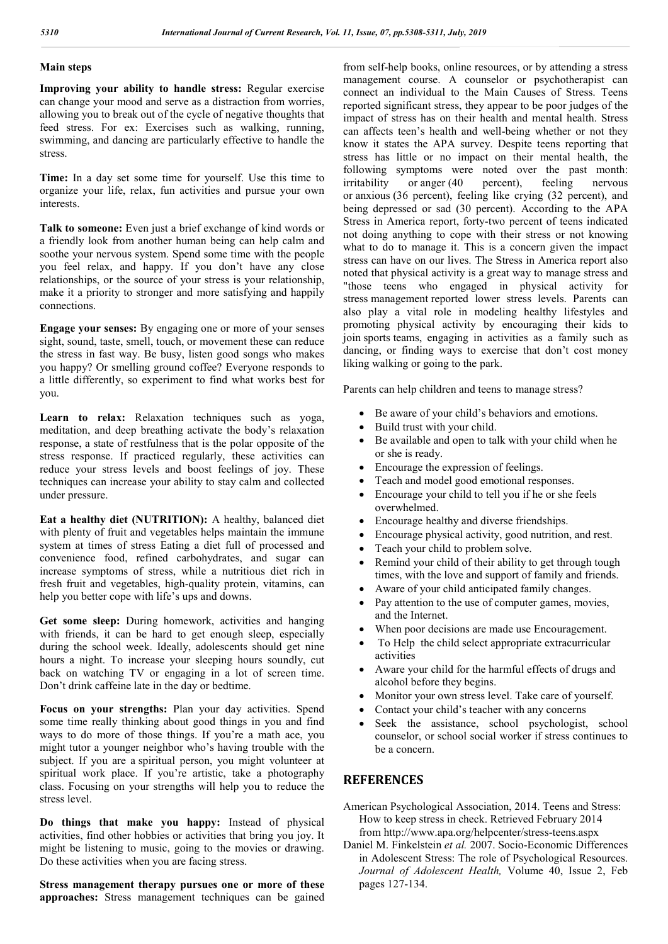## **Main steps**

**Improving your ability to handle stress:** Regular exercise can change your mood and serve as a distraction from worries, allowing you to break out of the cycle of negative thoughts that feed stress. For ex: Exercises such as walking, running, swimming, and dancing are particularly effective to handle the stress.

**Time:** In a day set some time for yourself. Use this time to organize your life, relax, fun activities and pursue your own interests.

**Talk to someone:** Even just a brief exchange of kind words or a friendly look from another human being can help calm and soothe your nervous system. Spend some time with the people you feel relax, and happy. If you don't have any close relationships, or the source of your stress is your relationship, make it a priority to stronger and more satisfying and happily connections.

**Engage your senses:** By engaging one or more of your senses sight, sound, taste, smell, touch, or movement these can reduce the stress in fast way. Be busy, listen good songs who makes you happy? Or smelling ground coffee? Everyone responds to a little differently, so experiment to find what works best for you.

Learn to relax: Relaxation techniques such as yoga, meditation, and deep breathing activate the body's relaxation response, a state of restfulness that is the polar opposite of the stress response. If practiced regularly, these activities can reduce your stress levels and boost feelings of joy. These techniques can increase your ability to stay calm and collected under pressure.

**Eat a healthy diet (NUTRITION):** A healthy, balanced diet with plenty of fruit and vegetables helps maintain the immune system at times of stress Eating a diet full of processed and convenience food, refined carbohydrates, and sugar can increase symptoms of stress, while a nutritious diet rich in fresh fruit and vegetables, high-quality protein, vitamins, can help you better cope with life's ups and downs.

**Get some sleep:** During homework, activities and hanging with friends, it can be hard to get enough sleep, especially during the school week. Ideally, adolescents should get nine hours a night. To increase your sleeping hours soundly, cut back on watching TV or engaging in a lot of screen time. Don't drink caffeine late in the day or bedtime.

**Focus on your strengths:** Plan your day activities. Spend some time really thinking about good things in you and find ways to do more of those things. If you're a math ace, you might tutor a younger neighbor who's having trouble with the subject. If you are a spiritual person, you might volunteer at spiritual work place. If you're artistic, take a photography class. Focusing on your strengths will help you to reduce the stress level.

**Do things that make you happy:** Instead of physical activities, find other hobbies or activities that bring you joy. It might be listening to music, going to the movies or drawing. Do these activities when you are facing stress.

**Stress management therapy pursues one or more of these approaches:** Stress management techniques can be gained from self-help books, online resources, or by attending a stress management course. A counselor or psychotherapist can connect an individual to the Main Causes of Stress. Teens reported significant stress, they appear to be poor judges of the impact of stress has on their health and mental health. Stress can affects teen's health and well-being whether or not they know it states the APA survey. Despite teens reporting that stress has little or no impact on their mental health, the following symptoms were noted over the past month: irritability or anger (40 percent), feeling nervous or anxious (36 percent), feeling like crying (32 percent), and being depressed or sad (30 percent). According to the APA Stress in America report, forty-two percent of teens indicated not doing anything to cope with their stress or not knowing what to do to manage it. This is a concern given the impact stress can have on our lives. The Stress in America report also noted that physical activity is a great way to manage stress and "those teens who engaged in physical activity for stress management reported lower stress levels. Parents can also play a vital role in modeling healthy lifestyles and promoting physical activity by encouraging their kids to join sports teams, engaging in activities as a family such as dancing, or finding ways to exercise that don't cost money liking walking or going to the park.

Parents can help children and teens to manage stress?

- Be aware of your child's behaviors and emotions.
- Build trust with your child.
- Be available and open to talk with your child when he or she is ready.
- Encourage the expression of feelings.
- Teach and model good emotional responses.
- Encourage your child to tell you if he or she feels overwhelmed.
- Encourage healthy and diverse friendships.
- Encourage physical activity, good nutrition, and rest.
- Teach your child to problem solve.
- Remind your child of their ability to get through tough times, with the love and support of family and friends.
- Aware of your child anticipated family changes.
- Pay attention to the use of computer games, movies, and the Internet.
- When poor decisions are made use Encouragement.
- To Help the child select appropriate extracurricular activities
- Aware your child for the harmful effects of drugs and alcohol before they begins.
- Monitor your own stress level. Take care of yourself.
- Contact your child's teacher with any concerns
- Seek the assistance, school psychologist, school counselor, or school social worker if stress continues to be a concern.

# **REFERENCES**

- American Psychological Association, 2014. Teens and Stress: How to keep stress in check. Retrieved February 2014 from http://www.apa.org/helpcenter/stress-teens.aspx
- Daniel M. Finkelstein *et al.* 2007. Socio-Economic Differences in Adolescent Stress: The role of Psychological Resources. *Journal of Adolescent Health,* Volume 40, Issue 2, Feb pages 127-134.